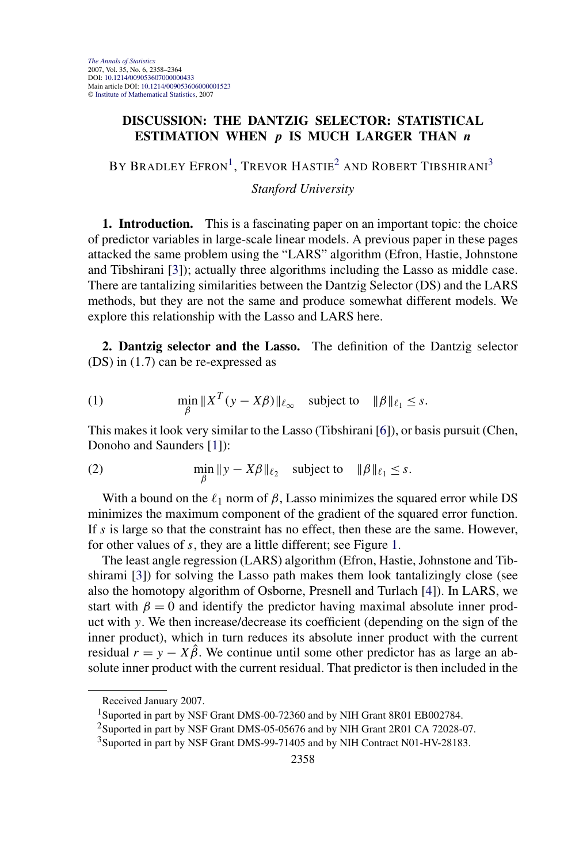## <span id="page-0-0"></span>**DISCUSSION: THE DANTZIG SELECTOR: STATISTICAL ESTIMATION WHEN** *p* **IS MUCH LARGER THAN** *n*

BY BRADLEY EFRON<sup>1</sup>, TREVOR HASTIE<sup>2</sup> AND ROBERT TIBSHIRANI<sup>3</sup>

*Stanford University*

**1. Introduction.** This is a fascinating paper on an important topic: the choice of predictor variables in large-scale linear models. A previous paper in these pages attacked the same problem using the "LARS" algorithm (Efron, Hastie, Johnstone and Tibshirani [\[3\]](#page-5-0)); actually three algorithms including the Lasso as middle case. There are tantalizing similarities between the Dantzig Selector (DS) and the LARS methods, but they are not the same and produce somewhat different models. We explore this relationship with the Lasso and LARS here.

**2. Dantzig selector and the Lasso.** The definition of the Dantzig selector (DS) in (1.7) can be re-expressed as

(1) 
$$
\min_{\beta} \|X^T (y - X\beta)\|_{\ell_\infty} \text{ subject to } \|\beta\|_{\ell_1} \leq s.
$$

This makes it look very similar to the Lasso (Tibshirani [\[6\]](#page-6-0)), or basis pursuit (Chen, Donoho and Saunders [\[1\]](#page-5-0)):

(2) 
$$
\min_{\beta} \|y - X\beta\|_{\ell_2} \text{ subject to } \|\beta\|_{\ell_1} \leq s.
$$

With a bound on the  $\ell_1$  norm of  $\beta$ , Lasso minimizes the squared error while DS minimizes the maximum component of the gradient of the squared error function. If *s* is large so that the constraint has no effect, then these are the same. However, for other values of *s*, they are a little different; see Figure [1.](#page-1-0)

The least angle regression (LARS) algorithm (Efron, Hastie, Johnstone and Tibshirami [\[3\]](#page-5-0)) for solving the Lasso path makes them look tantalizingly close (see also the homotopy algorithm of Osborne, Presnell and Turlach [\[4\]](#page-5-0)). In LARS, we start with  $\beta = 0$  and identify the predictor having maximal absolute inner product with *y*. We then increase/decrease its coefficient (depending on the sign of the inner product), which in turn reduces its absolute inner product with the current residual  $r = y - X\hat{\beta}$ . We continue until some other predictor has as large an absolute inner product with the current residual. That predictor is then included in the

Received January 2007.

<sup>&</sup>lt;sup>1</sup>Suported in part by NSF Grant DMS-00-72360 and by NIH Grant 8R01 EB002784.

<sup>&</sup>lt;sup>2</sup>Suported in part by NSF Grant DMS-05-05676 and by NIH Grant 2R01 CA 72028-07.

<sup>&</sup>lt;sup>3</sup>Suported in part by NSF Grant DMS-99-71405 and by NIH Contract N01-HV-28183.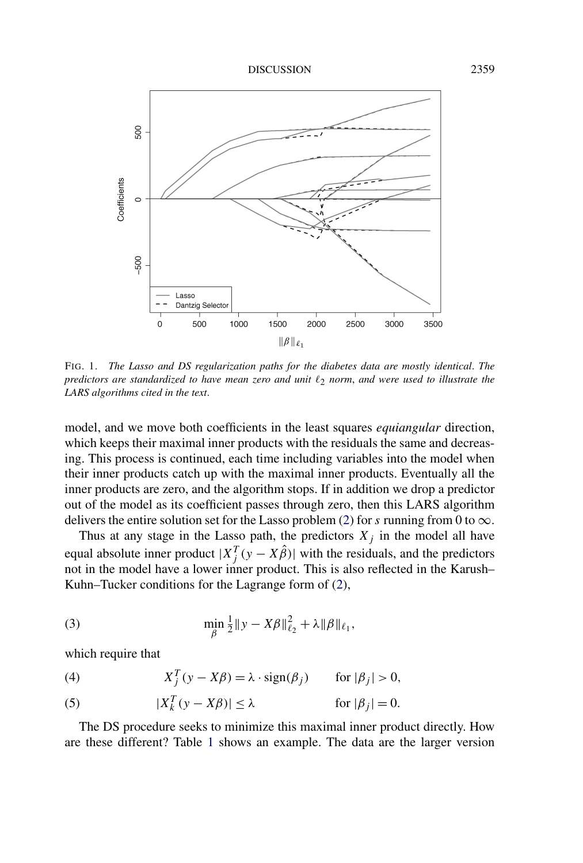<span id="page-1-0"></span>

FIG. 1. *The Lasso and DS regularization paths for the diabetes data are mostly identical*. *The predictors are standardized to have mean zero and unit*  $\ell_2$  *norm, and were used to illustrate the LARS algorithms cited in the text*.

model, and we move both coefficients in the least squares *equiangular* direction, which keeps their maximal inner products with the residuals the same and decreasing. This process is continued, each time including variables into the model when their inner products catch up with the maximal inner products. Eventually all the inner products are zero, and the algorithm stops. If in addition we drop a predictor out of the model as its coefficient passes through zero, then this LARS algorithm delivers the entire solution set for the Lasso problem [\(2\)](#page-0-0) for *s* running from 0 to  $\infty$ .

Thus at any stage in the Lasso path, the predictors  $X_j$  in the model all have equal absolute inner product  $|X_j^T(y - X\hat{\beta})|$  with the residuals, and the predictors not in the model have a lower inner product. This is also reflected in the Karush– Kuhn–Tucker conditions for the Lagrange form of [\(2\)](#page-0-0),

(3) 
$$
\min_{\beta} \frac{1}{2} \|y - X\beta\|_{\ell_2}^2 + \lambda \|\beta\|_{\ell_1},
$$

which require that

(4) 
$$
X_j^T(y - X\beta) = \lambda \cdot \text{sign}(\beta_j) \quad \text{for } |\beta_j| > 0,
$$

(5) 
$$
|X_k^T(y - X\beta)| \le \lambda \quad \text{for } |\beta_j| = 0.
$$

The DS procedure seeks to minimize this maximal inner product directly. How are these different? Table [1](#page-2-0) shows an example. The data are the larger version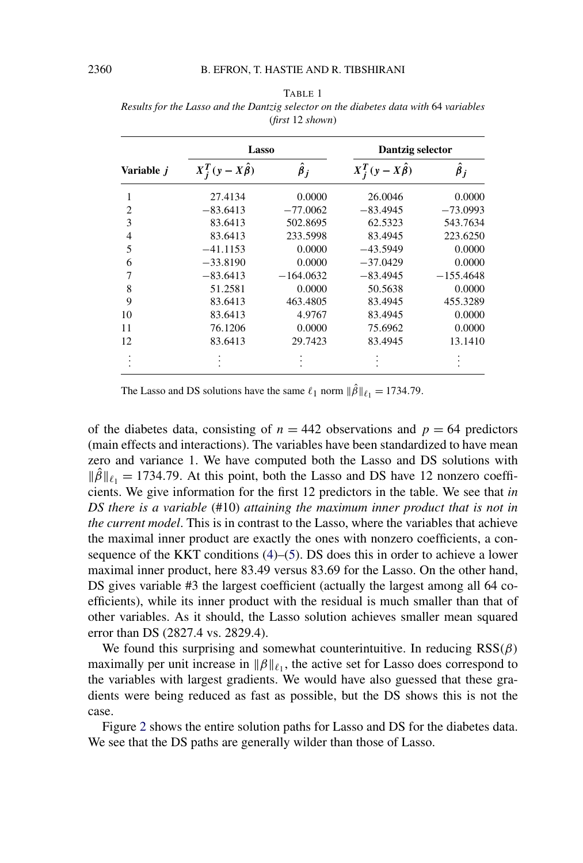| (nrst 12 shown)   |                         |                 |                         |                 |  |
|-------------------|-------------------------|-----------------|-------------------------|-----------------|--|
| Variable <i>j</i> | Lasso                   |                 | Dantzig selector        |                 |  |
|                   | $X_i^T(y-X\hat{\beta})$ | $\hat{\beta}_j$ | $X_i^T(y-X\hat{\beta})$ | $\hat{\beta}_j$ |  |
|                   | 27.4134                 | 0.0000          | 26.0046                 | 0.0000          |  |
| $\overline{c}$    | $-83.6413$              | $-77.0062$      | $-83.4945$              | $-73.0993$      |  |
| 3                 | 83.6413                 | 502.8695        | 62.5323                 | 543.7634        |  |
| $\overline{4}$    | 83.6413                 | 233.5998        | 83.4945                 | 223.6250        |  |
| 5                 | $-41.1153$              | 0.0000          | $-43.5949$              | 0.0000          |  |
| 6                 | $-33.8190$              | 0.0000          | $-37.0429$              | 0.0000          |  |
| 7                 | $-83.6413$              | $-164.0632$     | $-83.4945$              | $-155.4648$     |  |
| 8                 | 51.2581                 | 0.0000          | 50.5638                 | 0.0000          |  |
| 9                 | 83.6413                 | 463.4805        | 83.4945                 | 455.3289        |  |
| 10                | 83.6413                 | 4.9767          | 83.4945                 | 0.0000          |  |
| 11                | 76.1206                 | 0.0000          | 75.6962                 | 0.0000          |  |
| 12                | 83.6413                 | 29.7423         | 83.4945                 | 13.1410         |  |
|                   |                         |                 |                         |                 |  |

<span id="page-2-0"></span>

| TABLE 1                                                                               |
|---------------------------------------------------------------------------------------|
| Results for the Lasso and the Dantzig selector on the diabetes data with 64 variables |
| (first 12 shown)                                                                      |

The Lasso and DS solutions have the same  $\ell_1$  norm  $\|\hat{\beta}\|_{\ell_1} = 1734.79$ .

of the diabetes data, consisting of  $n = 442$  observations and  $p = 64$  predictors (main effects and interactions). The variables have been standardized to have mean zero and variance 1. We have computed both the Lasso and DS solutions with  $\|\hat{\beta}\|_{\ell_1} = 1734.79$ . At this point, both the Lasso and DS have 12 nonzero coefficients. We give information for the first 12 predictors in the table. We see that *in DS there is a variable* (#10) *attaining the maximum inner product that is not in the current model*. This is in contrast to the Lasso, where the variables that achieve the maximal inner product are exactly the ones with nonzero coefficients, a consequence of the KKT conditions [\(4\)](#page-1-0)–[\(5\)](#page-1-0). DS does this in order to achieve a lower maximal inner product, here 83.49 versus 83.69 for the Lasso. On the other hand, DS gives variable #3 the largest coefficient (actually the largest among all 64 coefficients), while its inner product with the residual is much smaller than that of other variables. As it should, the Lasso solution achieves smaller mean squared error than DS (2827.4 vs. 2829.4).

We found this surprising and somewhat counterintuitive. In reducing RSS*(β)* maximally per unit increase in  $\|\beta\|_{\ell_1}$ , the active set for Lasso does correspond to the variables with largest gradients. We would have also guessed that these gradients were being reduced as fast as possible, but the DS shows this is not the case.

Figure [2](#page-3-0) shows the entire solution paths for Lasso and DS for the diabetes data. We see that the DS paths are generally wilder than those of Lasso.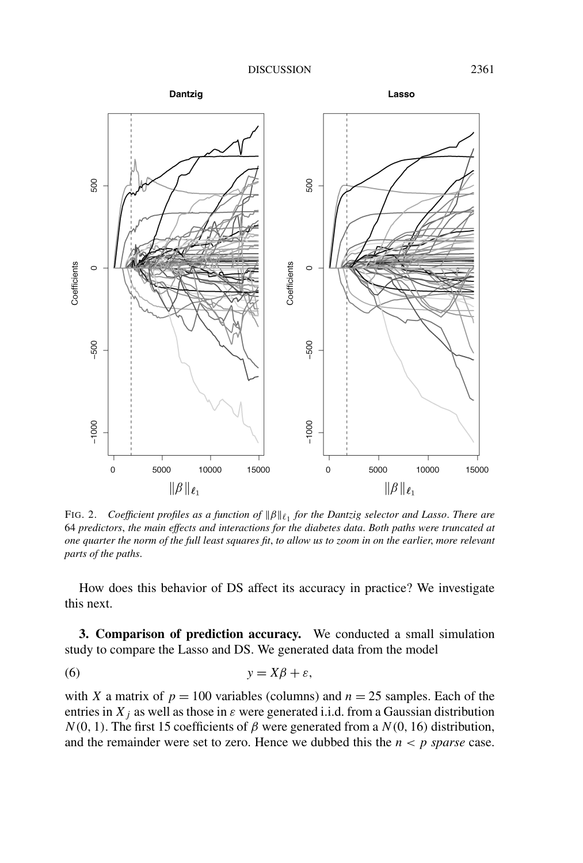<span id="page-3-0"></span>

*FIG.* 2. Coefficient profiles as a function of  $\|\beta\|_{\ell_1}$  for the Dantzig selector and Lasso. There are 64 *predictors*, *the main effects and interactions for the diabetes data*. *Both paths were truncated at one quarter the norm of the full least squares fit*, *to allow us to zoom in on the earlier*, *more relevant parts of the paths*.

How does this behavior of DS affect its accuracy in practice? We investigate this next.

**3. Comparison of prediction accuracy.** We conducted a small simulation study to compare the Lasso and DS. We generated data from the model

$$
(6) \t y = X\beta + \varepsilon,
$$

with *X* a matrix of  $p = 100$  variables (columns) and  $n = 25$  samples. Each of the entries in  $X_j$  as well as those in  $\varepsilon$  were generated i.i.d. from a Gaussian distribution  $N(0, 1)$ . The first 15 coefficients of  $\beta$  were generated from a  $N(0, 16)$  distribution, and the remainder were set to zero. Hence we dubbed this the  $n < p$  *sparse* case.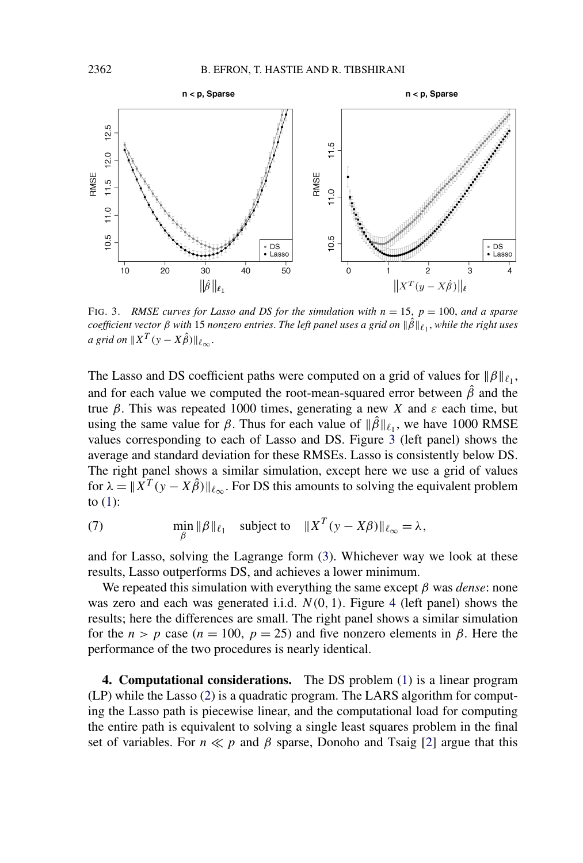

FIG. 3. *RMSE curves for Lasso and DS for the simulation with n* = 15, *p* = 100, *and a sparse*  $coefficient vector β with 15 nonzero entries.$  *The left panel uses a grid on*  $\|\beta\|_{\ell_1}$ , while the right uses *a* grid on  $||X^T(y - X\hat{\beta})||_{\ell_{\infty}}$ .

The Lasso and DS coefficient paths were computed on a grid of values for  $\|\beta\|_{\ell_1}$ , and for each value we computed the root-mean-squared error between  $\hat{\beta}$  and the true *β*. This was repeated 1000 times, generating a new *X* and *ε* each time, but using the same value for  $\beta$ . Thus for each value of  $\|\hat{\beta}\|_{\ell_1}$ , we have 1000 RMSE values corresponding to each of Lasso and DS. Figure 3 (left panel) shows the average and standard deviation for these RMSEs. Lasso is consistently below DS. The right panel shows a similar simulation, except here we use a grid of values for  $\lambda = ||\overline{X}^T(y - X\hat{\beta})||_{\ell_{\infty}}$ . For DS this amounts to solving the equivalent problem to  $(1)$ :

(7) 
$$
\min_{\beta} \|\beta\|_{\ell_1} \quad \text{subject to} \quad \|X^T(y - X\beta)\|_{\ell_\infty} = \lambda,
$$

and for Lasso, solving the Lagrange form [\(3\)](#page-1-0). Whichever way we look at these results, Lasso outperforms DS, and achieves a lower minimum.

We repeated this simulation with everything the same except *β* was *dense*: none was zero and each was generated i.i.d.  $N(0, 1)$ . Figure [4](#page-5-0) (left panel) shows the results; here the differences are small. The right panel shows a similar simulation for the  $n > p$  case ( $n = 100$ ,  $p = 25$ ) and five nonzero elements in  $\beta$ . Here the performance of the two procedures is nearly identical.

**4. Computational considerations.** The DS problem [\(1\)](#page-0-0) is a linear program (LP) while the Lasso [\(2\)](#page-0-0) is a quadratic program. The LARS algorithm for computing the Lasso path is piecewise linear, and the computational load for computing the entire path is equivalent to solving a single least squares problem in the final set of variables. For  $n \ll p$  and  $\beta$  sparse, Donoho and Tsaig [\[2\]](#page-5-0) argue that this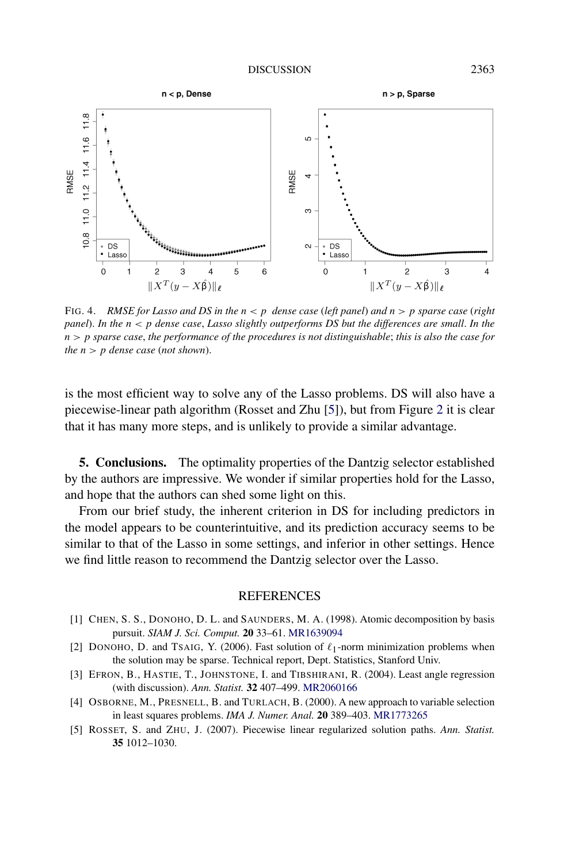<span id="page-5-0"></span>

FIG. 4. *RMSE for Lasso and DS in the n<p dense case* (*left panel*) *and n>p sparse case* (*right panel*). In the  $n < p$  dense case, Lasso slightly outperforms DS but the differences are small. In the *n>p sparse case*, *the performance of the procedures is not distinguishable*; *this is also the case for the*  $n > p$  *dense case* (*not shown*).

is the most efficient way to solve any of the Lasso problems. DS will also have a piecewise-linear path algorithm (Rosset and Zhu [5]), but from Figure [2](#page-3-0) it is clear that it has many more steps, and is unlikely to provide a similar advantage.

**5. Conclusions.** The optimality properties of the Dantzig selector established by the authors are impressive. We wonder if similar properties hold for the Lasso, and hope that the authors can shed some light on this.

From our brief study, the inherent criterion in DS for including predictors in the model appears to be counterintuitive, and its prediction accuracy seems to be similar to that of the Lasso in some settings, and inferior in other settings. Hence we find little reason to recommend the Dantzig selector over the Lasso.

## REFERENCES

- [1] CHEN, S. S., DONOHO, D. L. and SAUNDERS, M. A. (1998). Atomic decomposition by basis pursuit. *SIAM J. Sci. Comput.* **20** 33–61. [MR1639094](http://www.ams.org/mathscinet-getitem?mr=1639094)
- [2] DONOHO, D. and TSAIG, Y. (2006). Fast solution of  $\ell_1$ -norm minimization problems when the solution may be sparse. Technical report, Dept. Statistics, Stanford Univ.
- [3] EFRON, B., HASTIE, T., JOHNSTONE, I. and TIBSHIRANI, R. (2004). Least angle regression (with discussion). *Ann. Statist.* **32** 407–499. [MR2060166](http://www.ams.org/mathscinet-getitem?mr=2060166)
- [4] OSBORNE, M., PRESNELL, B. and TURLACH, B. (2000). A new approach to variable selection in least squares problems. *IMA J. Numer. Anal.* **20** 389–403. [MR1773265](http://www.ams.org/mathscinet-getitem?mr=1773265)
- [5] ROSSET, S. and ZHU, J. (2007). Piecewise linear regularized solution paths. *Ann. Statist.* **35** 1012–1030.